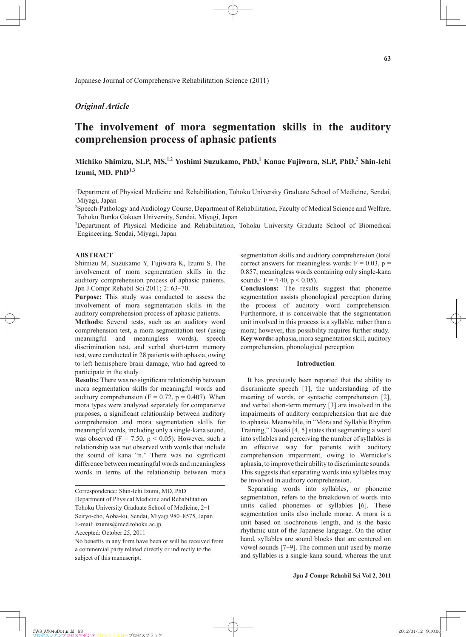# *Original Article*

# **The involvement of mora segmentation skills in the auditory comprehension process of aphasic patients**

**Michiko Shimizu, SLP, MS,1,2 Yoshimi Suzukamo, PhD,1 Kanae Fujiwara, SLP, PhD,2 Shin-Ichi Izumi, MD, PhD1,3**

<sup>1</sup>Department of Physical Medicine and Rehabilitation, Tohoku University Graduate School of Medicine, Sendai, Miyagi, Japan

2 Speech-Pathology and Audiology Course, Department of Rehabilitation, Faculty of Medical Science and Welfare, Tohoku Bunka Gakuen University, Sendai, Miyagi, Japan

3 Department of Physical Medicine and Rehabilitation, Tohoku University Graduate School of Biomedical Engineering, Sendai, Miyagi, Japan

## **ABSTRACT**

Shimizu M, Suzukamo Y, Fujiwara K, Izumi S. The involvement of mora segmentation skills in the auditory comprehension process of aphasic patients. Jpn J Compr Rehabil Sci 2011; 2: 63-70.

**Purpose:** This study was conducted to assess the involvement of mora segmentation skills in the auditory comprehension process of aphasic patients.

**Methods:** Several tests, such as an auditory word comprehension test, a mora segmentation test (using meaningful and meaningless words), speech discrimination test, and verbal short-term memory test, were conducted in 28 patients with aphasia, owing to left hemisphere brain damage, who had agreed to participate in the study.

**Results:** There was no significant relationship between mora segmentation skills for meaningful words and auditory comprehension ( $F = 0.72$ ,  $p = 0.407$ ). When mora types were analyzed separately for comparative purposes, a significant relationship between auditory comprehension and mora segmentation skills for meaningful words, including only a single-kana sound, was observed (F = 7.50,  $p < 0.05$ ). However, such a relationship was not observed with words that include the sound of kana "n." There was no significant difference between meaningful words and meaningless words in terms of the relationship between mora segmentation skills and auditory comprehension (total correct answers for meaningless words:  $F = 0.03$ ,  $p =$ 0.857; meaningless words containing only single-kana sounds:  $F = 4.40$ ,  $p < 0.05$ ).

**Conclusions:** The results suggest that phoneme segmentation assists phonological perception during the process of auditory word comprehension. Furthermore, it is conceivable that the segmentation unit involved in this process is a syllable, rather than a mora; however, this possibility requires further study. **Key words:** aphasia, mora segmentation skill, auditory comprehension, phonological perception

# **Introduction**

It has previously been reported that the ability to discriminate speech [1], the understanding of the meaning of words, or syntactic comprehension [2], and verbal short-term memory [3] are involved in the impairments of auditory comprehension that are due to aphasia. Meanwhile, in "Mora and Syllable Rhythm Training," Doseki [4, 5] states that segmenting a word into syllables and perceiving the number of syllables is an effective way for patients with auditory comprehension impairment, owing to Wernicke's aphasia, to improve their ability to discriminate sounds. This suggests that separating words into syllables may be involved in auditory comprehension.

Separating words into syllables, or phoneme segmentation, refers to the breakdown of words into units called phonemes or syllables [6]. These segmentation units also include morae. A mora is a unit based on isochronous length, and is the basic rhythmic unit of the Japanese language. On the other hand, syllables are sound blocks that are centered on vowel sounds [7-9]. The common unit used by morae and syllables is a single-kana sound, whereas the unit

Correspondence: Shin-Ichi Izumi, MD, PhD

Department of Physical Medicine and Rehabilitation

Tohoku University Graduate School of Medicine, 2-1

Seiryo-cho, Aoba-ku, Sendai, Miyagi 980-8575, Japan

E-mail: izumis@med.tohoku.ac.jp

Accepted: October 25, 2011

No benefits in any form have been or will be received from a commercial party related directly or indirectly to the subject of this manuscript.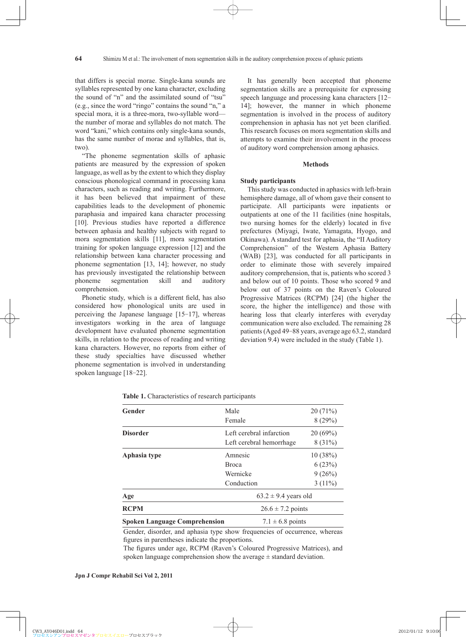that differs is special morae. Single-kana sounds are syllables represented by one kana character, excluding the sound of "n" and the assimilated sound of "tsu" (e.g., since the word "ringo" contains the sound "n," a special mora, it is a three-mora, two-syllable word the number of morae and syllables do not match. The word "kani," which contains only single-kana sounds, has the same number of morae and syllables, that is, two).

"The phoneme segmentation skills of aphasic patients are measured by the expression of spoken language, as well as by the extent to which they display conscious phonological command in processing kana characters, such as reading and writing. Furthermore, it has been believed that impairment of these capabilities leads to the development of phonemic paraphasia and impaired kana character processing [10]. Previous studies have reported a difference between aphasia and healthy subjects with regard to mora segmentation skills [11], mora segmentation training for spoken language expression [12] and the relationship between kana character processing and phoneme segmentation [13, 14]; however, no study has previously investigated the relationship between phoneme segmentation skill and auditory comprehension.

Phonetic study, which is a different field, has also considered how phonological units are used in perceiving the Japanese language [15-17], whereas investigators working in the area of language development have evaluated phoneme segmentation skills, in relation to the process of reading and writing kana characters. However, no reports from either of these study specialties have discussed whether phoneme segmentation is involved in understanding spoken language [18-22].

It has generally been accepted that phoneme segmentation skills are a prerequisite for expressing speech language and processing kana characters [12- 14]; however, the manner in which phoneme segmentation is involved in the process of auditory comprehension in aphasia has not yet been clarified. This research focuses on mora segmentation skills and attempts to examine their involvement in the process of auditory word comprehension among aphasics.

## **Methods**

## **Study participants**

This study was conducted in aphasics with left-brain hemisphere damage, all of whom gave their consent to participate. All participants were inpatients or outpatients at one of the 11 facilities (nine hospitals, two nursing homes for the elderly) located in five prefectures (Miyagi, Iwate, Yamagata, Hyogo, and Okinawa). A standard test for aphasia, the "II Auditory Comprehension" of the Western Aphasia Battery (WAB) [23], was conducted for all participants in order to eliminate those with severely impaired auditory comprehension, that is, patients who scored 3 and below out of 10 points. Those who scored 9 and below out of 37 points on the Raven's Coloured Progressive Matrices (RCPM) [24] (the higher the score, the higher the intelligence) and those with hearing loss that clearly interferes with everyday communication were also excluded. The remaining 28 patients (Aged 49-88 years, average age 63.2, standard deviation 9.4) were included in the study (Table 1).

| Gender                               | Male<br>Female                                       | 20(71%)<br>8(29%)                        |  |  |
|--------------------------------------|------------------------------------------------------|------------------------------------------|--|--|
| <b>Disorder</b>                      | Left cerebral infarction<br>Left cerebral hemorrhage | 20(69%)<br>$8(31\%)$                     |  |  |
| Aphasia type                         | Amnesic<br><b>Broca</b><br>Wernicke<br>Conduction    | 10(38%)<br>6(23%)<br>9(26%)<br>$3(11\%)$ |  |  |
| Age                                  | $63.2 \pm 9.4$ years old                             |                                          |  |  |
| <b>RCPM</b>                          | $26.6 \pm 7.2$ points                                |                                          |  |  |
| <b>Spoken Language Comprehension</b> | $7.1 \pm 6.8$ points                                 |                                          |  |  |

**Table 1.** Characteristics of research participants

Gender, disorder, and aphasia type show frequencies of occurrence, whereas figures in parentheses indicate the proportions.

The figures under age, RCPM (Raven's Coloured Progressive Matrices), and spoken language comprehension show the average  $\pm$  standard deviation.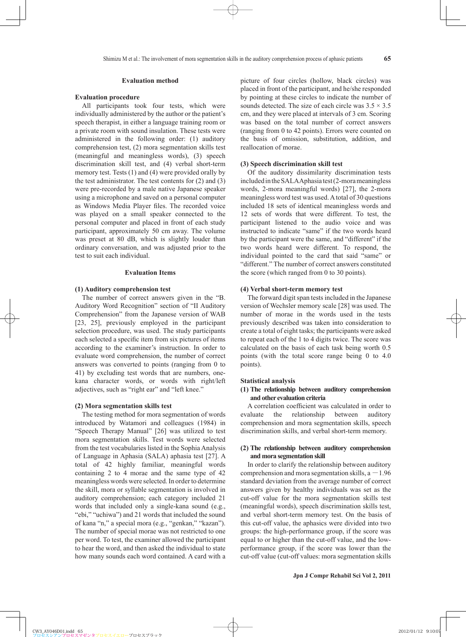#### **Evaluation method**

## **Evaluation procedure**

All participants took four tests, which were individually administered by the author or the patient's speech therapist, in either a language training room or a private room with sound insulation. These tests were administered in the following order: (1) auditory comprehension test, (2) mora segmentation skills test (meaningful and meaningless words), (3) speech discrimination skill test, and (4) verbal short-term memory test. Tests (1) and (4) were provided orally by the test administrator. The test contents for (2) and (3) were pre-recorded by a male native Japanese speaker using a microphone and saved on a personal computer as Windows Media Player files. The recorded voice was played on a small speaker connected to the personal computer and placed in front of each study participant, approximately 50 cm away. The volume was preset at 80 dB, which is slightly louder than ordinary conversation, and was adjusted prior to the test to suit each individual.

# **Evaluation Items**

# **(1) Auditory comprehension test**

The number of correct answers given in the "B. Auditory Word Recognition" section of "II Auditory Comprehension" from the Japanese version of WAB [23, 25], previously employed in the participant selection procedure, was used. The study participants each selected a specific item from six pictures of items according to the examiner's instruction. In order to evaluate word comprehension, the number of correct answers was converted to points (ranging from 0 to 41) by excluding test words that are numbers, onekana character words, or words with right/left adjectives, such as "right ear" and "left knee."

## **(2) Mora segmentation skills test**

The testing method for mora segmentation of words introduced by Watamori and colleagues (1984) in "Speech Therapy Manual" [26] was utilized to test mora segmentation skills. Test words were selected from the test vocabularies listed in the Sophia Analysis of Language in Aphasia (SALA) aphasia test [27]. A total of 42 highly familiar, meaningful words containing 2 to 4 morae and the same type of 42 meaningless words were selected. In order to determine the skill, mora or syllable segmentation is involved in auditory comprehension; each category included 21 words that included only a single-kana sound (e.g., "ebi," "uchiwa") and 21 words that included the sound of kana "n," a special mora (e.g., "genkan," "kazan"). The number of special morae was not restricted to one per word. To test, the examiner allowed the participant to hear the word, and then asked the individual to state how many sounds each word contained. A card with a picture of four circles (hollow, black circles) was placed in front of the participant, and he/she responded by pointing at these circles to indicate the number of sounds detected. The size of each circle was  $3.5 \times 3.5$ cm, and they were placed at intervals of 3 cm. Scoring was based on the total number of correct answers (ranging from 0 to 42 points). Errors were counted on the basis of omission, substitution, addition, and reallocation of morae.

## **(3) Speech discrimination skill test**

Of the auditory dissimilarity discrimination tests included in the SALA Aphasia test (2-mora meaningless words, 2-mora meaningful words) [27], the 2-mora meaningless word test was used. A total of 30 questions included 18 sets of identical meaningless words and 12 sets of words that were different. To test, the participant listened to the audio voice and was instructed to indicate "same" if the two words heard by the participant were the same, and "different" if the two words heard were different. To respond, the individual pointed to the card that said "same" or "different." The number of correct answers constituted the score (which ranged from 0 to 30 points).

# **(4) Verbal short-term memory test**

The forward digit span tests included in the Japanese version of Wechsler memory scale [28] was used. The number of morae in the words used in the tests previously described was taken into consideration to create a total of eight tasks; the participants were asked to repeat each of the 1 to 4 digits twice. The score was calculated on the basis of each task being worth 0.5 points (with the total score range being 0 to 4.0 points).

#### **Statistical analysis**

# **(1) The relationship between auditory comprehension and other evaluation criteria**

A correlation coefficient was calculated in order to evaluate the relationship between auditory comprehension and mora segmentation skills, speech discrimination skills, and verbal short-term memory.

## **(2) The relationship between auditory comprehension and mora segmentation skill**

In order to clarify the relationship between auditory comprehension and mora segmentation skills,  $a - 1.96$ standard deviation from the average number of correct answers given by healthy individuals was set as the cut-off value for the mora segmentation skills test (meaningful words), speech discrimination skills test, and verbal short-term memory test. On the basis of this cut-off value, the aphasics were divided into two groups: the high-performance group, if the score was equal to or higher than the cut-off value, and the lowperformance group, if the score was lower than the cut-off value (cut-off values: mora segmentation skills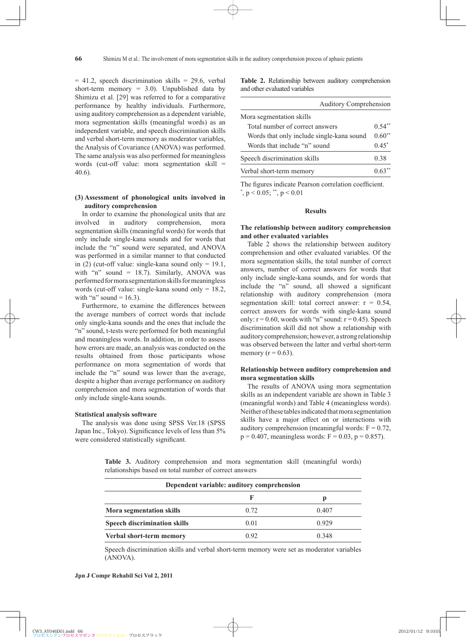$= 41.2$ , speech discrimination skills  $= 29.6$ , verbal short-term memory = 3.0). Unpublished data by Shimizu et al. [29] was referred to for a comparative performance by healthy individuals. Furthermore, using auditory comprehension as a dependent variable, mora segmentation skills (meaningful words) as an independent variable, and speech discrimination skills and verbal short-term memory as moderator variables, the Analysis of Covariance (ANOVA) was performed. The same analysis was also performed for meaningless words (cut-off value: mora segmentation skill = 40.6).

# **(3) Assessment of phonological units involved in auditory comprehension**

In order to examine the phonological units that are involved in auditory comprehension, mora segmentation skills (meaningful words) for words that only include single-kana sounds and for words that include the "n" sound were separated, and ANOVA was performed in a similar manner to that conducted in (2) (cut-off value: single-kana sound only  $= 19.1$ , with "n" sound = 18.7). Similarly, ANOVA was performed for mora segmentation skills for meaningless words (cut-off value: single-kana sound only  $= 18.2$ , with "n" sound =  $16.3$ ).

Furthermore, to examine the differences between the average numbers of correct words that include only single-kana sounds and the ones that include the "n" sound, t-tests were performed for both meaningful and meaningless words. In addition, in order to assess how errors are made, an analysis was conducted on the results obtained from those participants whose performance on mora segmentation of words that include the "n" sound was lower than the average, despite a higher than average performance on auditory comprehension and mora segmentation of words that only include single-kana sounds.

## **Statistical analysis software**

The analysis was done using SPSS Ver.18 (SPSS Japan Inc., Tokyo). Significance levels of less than 5% were considered statistically significant.

**Table 2.** Relationship between auditory comprehension and other evaluated variables

| <b>Auditory Comprehension</b>             |          |
|-------------------------------------------|----------|
| Mora segmentation skills                  |          |
| Total number of correct answers           | $0.54**$ |
| Words that only include single-kana sound | $0.60**$ |
| Words that include "n" sound              | $0.45*$  |
| Speech discrimination skills              | 0.38     |
| Verbal short-term memory                  |          |

The figures indicate Pearson correlation coefficient.  $^*$ , p < 0.05;  $^*$ , p < 0.01

## **Results**

# **The relationship between auditory comprehension and other evaluated variables**

Table 2 shows the relationship between auditory comprehension and other evaluated variables. Of the mora segmentation skills, the total number of correct answers, number of correct answers for words that only include single-kana sounds, and for words that include the "n" sound, all showed a significant relationship with auditory comprehension (mora segmentation skill: total correct answer:  $r = 0.54$ , correct answers for words with single-kana sound only:  $r = 0.60$ , words with "n" sound:  $r = 0.45$ ). Speech discrimination skill did not show a relationship with auditory comprehension; however, a strong relationship was observed between the latter and verbal short-term memory ( $r = 0.63$ ).

# **Relationship between auditory comprehension and mora segmentation skills**

The results of ANOVA using mora segmentation skills as an independent variable are shown in Table 3 (meaningful words) and Table 4 (meaningless words). Neither of these tables indicated that mora segmentation skills have a major effect on or interactions with auditory comprehension (meaningful words:  $F = 0.72$ ,  $p = 0.407$ , meaningless words:  $F = 0.03$ ,  $p = 0.857$ ).

**Table 3.** Auditory comprehension and mora segmentation skill (meaningful words) relationships based on total number of correct answers

| Dependent variable: auditory comprehension |      |       |  |  |
|--------------------------------------------|------|-------|--|--|
|                                            |      | р     |  |  |
| Mora segmentation skills                   | 0.72 | 0.407 |  |  |
| <b>Speech discrimination skills</b>        | 0.01 | 0.929 |  |  |
| Verbal short-term memory                   | 0.92 | 0.348 |  |  |

Speech discrimination skills and verbal short-term memory were set as moderator variables (ANOVA).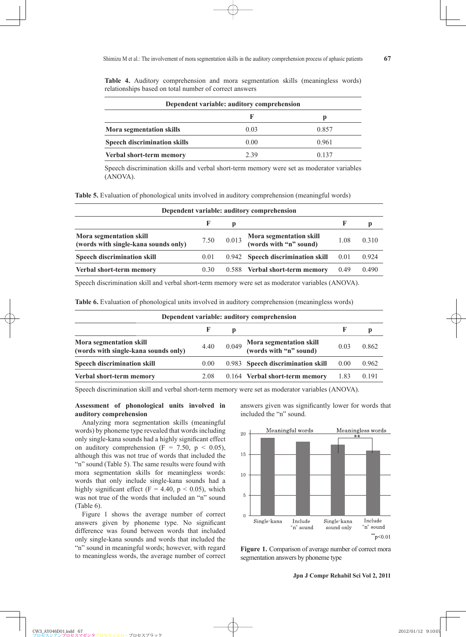| Dependent variable: auditory comprehension |      |       |  |  |
|--------------------------------------------|------|-------|--|--|
|                                            |      | р     |  |  |
| Mora segmentation skills                   | 0.03 | 0.857 |  |  |
| <b>Speech discrimination skills</b>        | 0.00 | 0.961 |  |  |
| Verbal short-term memory                   | 2.39 | 0.137 |  |  |

**Table 4.** Auditory comprehension and mora segmentation skills (meaningless words) relationships based on total number of correct answers

Speech discrimination skills and verbal short-term memory were set as moderator variables (ANOVA).

**Table 5.** Evaluation of phonological units involved in auditory comprehension (meaningful words)

| Dependent variable: auditory comprehension |       |                                                   |                                                                     |       |  |  |
|--------------------------------------------|-------|---------------------------------------------------|---------------------------------------------------------------------|-------|--|--|
|                                            | p     |                                                   |                                                                     | p     |  |  |
| 7.50                                       | 0.013 | Mora segmentation skill<br>(words with "n" sound) | 1.08                                                                | 0.310 |  |  |
| 0.01                                       |       |                                                   | 0.01                                                                | 0.924 |  |  |
| 0.30                                       |       |                                                   | 0.49                                                                | 0.490 |  |  |
|                                            |       |                                                   | 0.942 Speech discrimination skill<br>0.588 Verbal short-term memory |       |  |  |

Speech discrimination skill and verbal short-term memory were set as moderator variables (ANOVA).

**Table 6.** Evaluation of phonological units involved in auditory comprehension (meaningless words)

| Dependent variable: auditory comprehension                      |      |       |                                                   |      |       |  |
|-----------------------------------------------------------------|------|-------|---------------------------------------------------|------|-------|--|
|                                                                 | к    | р     |                                                   | к    | р     |  |
| Mora segmentation skill<br>(words with single-kana sounds only) | 4.40 | 0.049 | Mora segmentation skill<br>(words with "n" sound) | 0.03 | 0.862 |  |
| <b>Speech discrimination skill</b>                              | 0.00 |       | 0.983 Speech discrimination skill                 | 0.00 | 0.962 |  |
| Verbal short-term memory                                        | 2.08 |       | 0.164 Verbal short-term memory                    | 1.83 | 0.191 |  |

Speech discrimination skill and verbal short-term memory were set as moderator variables (ANOVA).

## **Assessment of phonological units involved in auditory comprehension**

Analyzing mora segmentation skills (meaningful words) by phoneme type revealed that words including only single-kana sounds had a highly significant effect on auditory comprehension (F = 7.50,  $p \le 0.05$ ), although this was not true of words that included the "n" sound (Table 5). The same results were found with mora segmentation skills for meaningless words: words that only include single-kana sounds had a highly significant effect (F = 4.40,  $p < 0.05$ ), which was not true of the words that included an "n" sound (Table 6).

Figure 1 shows the average number of correct answers given by phoneme type. No significant difference was found between words that included only single-kana sounds and words that included the "n" sound in meaningful words; however, with regard to meaningless words, the average number of correct answers given was significantly lower for words that included the "n" sound.



**Figure 1.** Comparison of average number of correct mora segmentation answers by phoneme type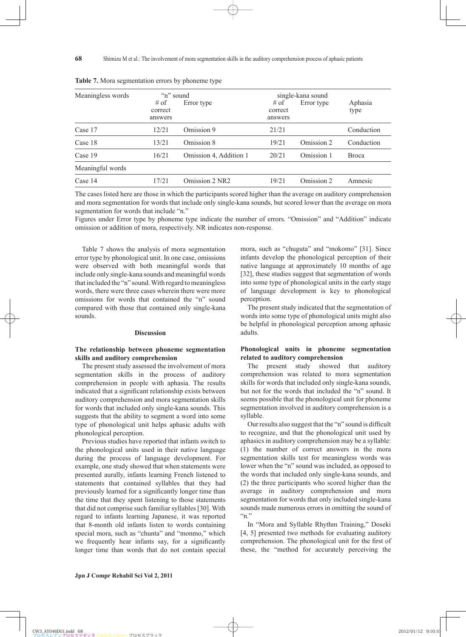| Meaningless words | "n" sound<br>$#$ of<br>correct<br>answers | Error type             | $#$ of<br>correct<br>answers | single-kana sound<br>Error type | Aphasia<br>type |
|-------------------|-------------------------------------------|------------------------|------------------------------|---------------------------------|-----------------|
| Case 17           | 12/21                                     | Omission 9             | 21/21                        |                                 | Conduction      |
| Case 18           | 13/21                                     | Omission 8             | 19/21                        | Omission 2                      | Conduction      |
| Case 19           | 16/21                                     | Omission 4, Addition 1 | 20/21                        | Omission 1                      | <b>Broca</b>    |
| Meaningful words  |                                           |                        |                              |                                 |                 |
| Case 14           | 17/21                                     | Omission 2 NR2         | 19/21                        | Omission 2                      | Amnesic         |

**Table 7.** Mora segmentation errors by phoneme type

**68**

The cases listed here are those in which the participants scored higher than the average on auditory comprehension and mora segmentation for words that include only single-kana sounds, but scored lower than the average on mora segmentation for words that include "n."

Figures under Error type by phoneme type indicate the number of errors. "Omission" and "Addition" indicate omission or addition of mora, respectively. NR indicates non-response.

Table 7 shows the analysis of mora segmentation error type by phonological unit. In one case, omissions were observed with both meaningful words that include only single-kana sounds and meaningful words that included the "n" sound. With regard to meaningless words, there were three cases wherein there were more omissions for words that contained the "n" sound compared with those that contained only single-kana sounds.

#### **Discussion**

# **The relationship between phoneme segmentation skills and auditory comprehension**

The present study assessed the involvement of mora segmentation skills in the process of auditory comprehension in people with aphasia. The results indicated that a significant relationship exists between auditory comprehension and mora segmentation skills for words that included only single-kana sounds. This suggests that the ability to segment a word into some type of phonological unit helps aphasic adults with phonological perception.

Previous studies have reported that infants switch to the phonological units used in their native language during the process of language development. For example, one study showed that when statements were presented aurally, infants learning French listened to statements that contained syllables that they had previously learned for a significantly longer time than the time that they spent listening to those statements that did not comprise such familiar syllables [30]. With regard to infants learning Japanese, it was reported that 8-month old infants listen to words containing special mora, such as "chunta" and "monmo," which we frequently hear infants say, for a significantly longer time than words that do not contain special mora, such as "chuguta" and "mokomo" [31]. Since infants develop the phonological perception of their native language at approximately 10 months of age [32], these studies suggest that segmentation of words into some type of phonological units in the early stage of language development is key to phonological perception.

The present study indicated that the segmentation of words into some type of phonological units might also be helpful in phonological perception among aphasic adults.

# **Phonological units in phoneme segmentation related to auditory comprehension**

The present study showed that auditory comprehension was related to mora segmentation skills for words that included only single-kana sounds, but not for the words that included the "n" sound. It seems possible that the phonological unit for phoneme segmentation involved in auditory comprehension is a syllable.

Our results also suggest that the "n" sound is difficult to recognize, and that the phonological unit used by aphasics in auditory comprehension may be a syllable: (1) the number of correct answers in the mora segmentation skills test for meaningless words was lower when the "n" sound was included, as opposed to the words that included only single-kana sounds, and (2) the three participants who scored higher than the average in auditory comprehension and mora segmentation for words that only included single-kana sounds made numerous errors in omitting the sound of  $n$ "

In "Mora and Syllable Rhythm Training," Doseki [4, 5] presented two methods for evaluating auditory comprehension. The phonological unit for the first of these, the "method for accurately perceiving the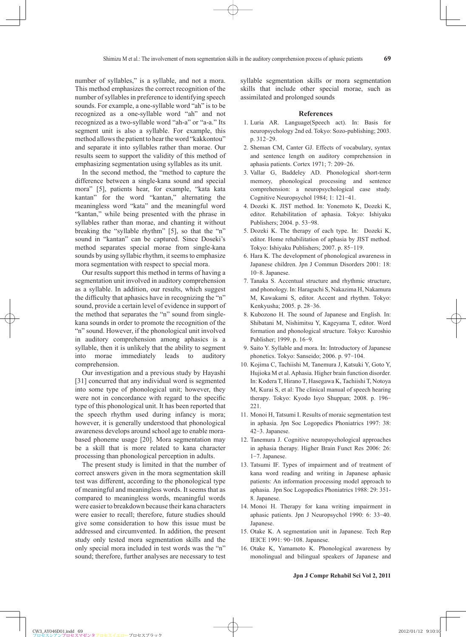number of syllables," is a syllable, and not a mora. This method emphasizes the correct recognition of the number of syllables in preference to identifying speech sounds. For example, a one-syllable word "ah" is to be recognized as a one-syllable word "ah" and not recognized as a two-syllable word "ah-a" or "a-a." Its segment unit is also a syllable. For example, this method allows the patient to hear the word "kakkontou" and separate it into syllables rather than morae. Our results seem to support the validity of this method of emphasizing segmentation using syllables as its unit.

In the second method, the "method to capture the difference between a single-kana sound and special mora" [5], patients hear, for example, "kata kata kantan" for the word "kantan," alternating the meaningless word "kata" and the meaningful word "kantan," while being presented with the phrase in syllables rather than morae, and chanting it without breaking the "syllable rhythm" [5], so that the "n" sound in "kantan" can be captured. Since Doseki's method separates special morae from single-kana sounds by using syllabic rhythm, it seems to emphasize mora segmentation with respect to special mora.

Our results support this method in terms of having a segmentation unit involved in auditory comprehension as a syllable. In addition, our results, which suggest the difficulty that aphasics have in recognizing the "n" sound, provide a certain level of evidence in support of the method that separates the "n" sound from singlekana sounds in order to promote the recognition of the "n" sound. However, if the phonological unit involved in auditory comprehension among aphasics is a syllable, then it is unlikely that the ability to segment into morae immediately leads to auditory comprehension.

Our investigation and a previous study by Hayashi [31] concurred that any individual word is segmented into some type of phonological unit; however, they were not in concordance with regard to the specific type of this phonological unit. It has been reported that the speech rhythm used during infancy is mora; however, it is generally understood that phonological awareness develops around school age to enable morabased phoneme usage [20]. Mora segmentation may be a skill that is more related to kana character processing than phonological perception in adults.

The present study is limited in that the number of correct answers given in the mora segmentation skill test was different, according to the phonological type of meaningful and meaningless words. It seems that as compared to meaningless words, meaningful words were easier to breakdown because their kana characters were easier to recall; therefore, future studies should give some consideration to how this issue must be addressed and circumvented. In addition, the present study only tested mora segmentation skills and the only special mora included in test words was the "n" sound; therefore, further analyses are necessary to test syllable segmentation skills or mora segmentation skills that include other special morae, such as assimilated and prolonged sounds

## **References**

- 1. Luria AR. Language(Speech act). In: Basis for neuropsychology 2nd ed. Tokyo: Sozo-publishing; 2003. p. 312-29.
- 2. Sheman CM, Canter GJ. Effects of vocabulary, syntax and sentence length on auditory comprehension in aphasia patients. Cortex 1971; 7: 209-26.
- 3. Vallar G, Baddeley AD. Phonological short-term memory, phonological processing and sentence comprehension: a neuropsychological case study. Cognitive Neuropsychol 1984; 1: 121-41.
- 4. Dozeki K. JIST method. In: Yonemoto K, Dozeki K, editor. Rehabilitation of aphasia. Tokyo: Ishiyaku Publishers; 2004. p. 53-98.
- 5. Dozeki K. The therapy of each type. In: Dozeki K, editor. Home rehabilitation of aphasia by JIST method. Tokyo: Ishiyaku Publishers; 2007. p. 85-119.
- 6. Hara K. The development of phonological awareness in Japanese children. Jpn J Commun Disorders 2001: 18: 10-8. Japanese.
- 7. Tanaka S. Accentual structure and rhythmic structure, and phonology. In: Haraguchi S, Nakazima H, Nakamura M, Kawakami S, editor. Accent and rhythm. Tokyo: Kenkyusha; 2005. p. 28-36.
- 8. Kubozono H. The sound of Japanese and English. In: Shibatani M, Nishimitsu Y, Kageyama T, editor. Word formation and phonological structure. Tokyo: Kuroshio Publisher; 1999. p. 16-9.
- 9. Saito Y. Syllable and mora. In: Introductory of Japanese phonetics. Tokyo: Sanseido; 2006. p. 97-104.
- 10. Kojima C, Tachiishi M, Tanemura J, Katsuki Y, Goto Y, Hujioka M et al. Aphasia. Higher brain function disorder. In: Kodera T, Hirano T, Hasegawa K, Tachiishi T, Notoya M, Kurai S, et al: The clinical manual of speech hearing therapy. Tokyo: Kyodo Isyo Shuppan; 2008. p. 196- 221.
- 11. Monoi H, Tatsumi I. Results of moraic segmentation test in aphasia. Jpn Soc Logopedics Phoniatrics 1997: 38: 42-3. Japanese.
- 12. Tanemura J. Cognitive neuropsychological approaches in aphasia therapy. Higher Brain Funct Res 2006: 26: 1-7. Japanese.
- 13. Tatsumi IF. Types of impairment and of treatment of kana word reading and writing in Japanese aphasic patients: An information processing model approach to aphasia. Jpn Soc Logopedics Phoniatrics 1988: 29: 351- 8. Japanese.
- 14. Monoi H. Therapy for kana writing impairment in aphasic patients. Jpn J Neuropsychol 1990: 6: 33-40. Japanese.
- 15. Otake K. A segmentation unit in Japanese. Tech Rep IEICE 1991: 90-108. Japanese.
- 16. Otake K, Yamamoto K. Phonological awareness by monolingual and bilingual speakers of Japanese and